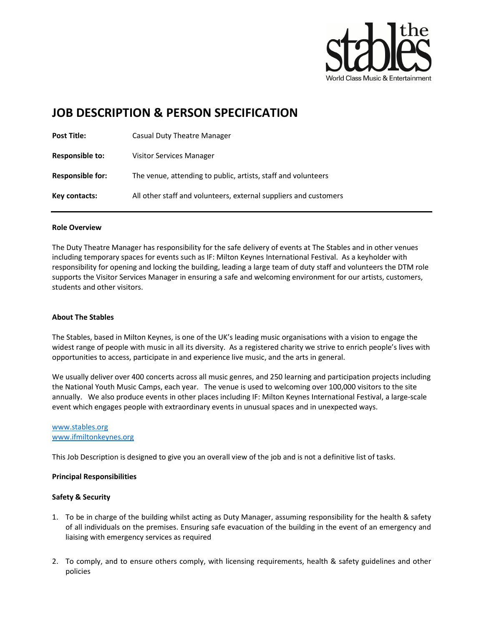

# JOB DESCRIPTION & PERSON SPECIFICATION

| <b>Post Title:</b>     | Casual Duty Theatre Manager                                      |
|------------------------|------------------------------------------------------------------|
| <b>Responsible to:</b> | <b>Visitor Services Manager</b>                                  |
| Responsible for:       | The venue, attending to public, artists, staff and volunteers    |
| Key contacts:          | All other staff and volunteers, external suppliers and customers |

## Role Overview

The Duty Theatre Manager has responsibility for the safe delivery of events at The Stables and in other venues including temporary spaces for events such as IF: Milton Keynes International Festival. As a keyholder with responsibility for opening and locking the building, leading a large team of duty staff and volunteers the DTM role supports the Visitor Services Manager in ensuring a safe and welcoming environment for our artists, customers, students and other visitors.

## About The Stables

The Stables, based in Milton Keynes, is one of the UK's leading music organisations with a vision to engage the widest range of people with music in all its diversity. As a registered charity we strive to enrich people's lives with opportunities to access, participate in and experience live music, and the arts in general.

We usually deliver over 400 concerts across all music genres, and 250 learning and participation projects including the National Youth Music Camps, each year. The venue is used to welcoming over 100,000 visitors to the site annually. We also produce events in other places including IF: Milton Keynes International Festival, a large-scale event which engages people with extraordinary events in unusual spaces and in unexpected ways.

### www.stables.org www.ifmiltonkeynes.org

This Job Description is designed to give you an overall view of the job and is not a definitive list of tasks.

## Principal Responsibilities

# Safety & Security

- 1. To be in charge of the building whilst acting as Duty Manager, assuming responsibility for the health & safety of all individuals on the premises. Ensuring safe evacuation of the building in the event of an emergency and liaising with emergency services as required
- 2. To comply, and to ensure others comply, with licensing requirements, health & safety guidelines and other policies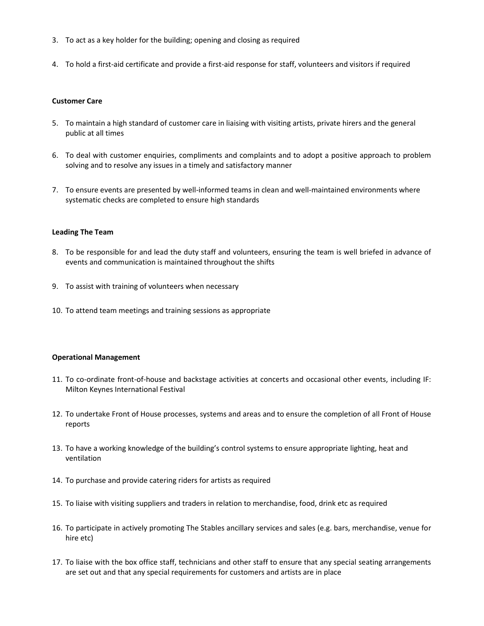- 3. To act as a key holder for the building; opening and closing as required
- 4. To hold a first-aid certificate and provide a first-aid response for staff, volunteers and visitors if required

#### Customer Care

- 5. To maintain a high standard of customer care in liaising with visiting artists, private hirers and the general public at all times
- 6. To deal with customer enquiries, compliments and complaints and to adopt a positive approach to problem solving and to resolve any issues in a timely and satisfactory manner
- 7. To ensure events are presented by well-informed teams in clean and well-maintained environments where systematic checks are completed to ensure high standards

#### Leading The Team

- 8. To be responsible for and lead the duty staff and volunteers, ensuring the team is well briefed in advance of events and communication is maintained throughout the shifts
- 9. To assist with training of volunteers when necessary
- 10. To attend team meetings and training sessions as appropriate

#### Operational Management

- 11. To co-ordinate front-of-house and backstage activities at concerts and occasional other events, including IF: Milton Keynes International Festival
- 12. To undertake Front of House processes, systems and areas and to ensure the completion of all Front of House reports
- 13. To have a working knowledge of the building's control systems to ensure appropriate lighting, heat and ventilation
- 14. To purchase and provide catering riders for artists as required
- 15. To liaise with visiting suppliers and traders in relation to merchandise, food, drink etc as required
- 16. To participate in actively promoting The Stables ancillary services and sales (e.g. bars, merchandise, venue for hire etc)
- 17. To liaise with the box office staff, technicians and other staff to ensure that any special seating arrangements are set out and that any special requirements for customers and artists are in place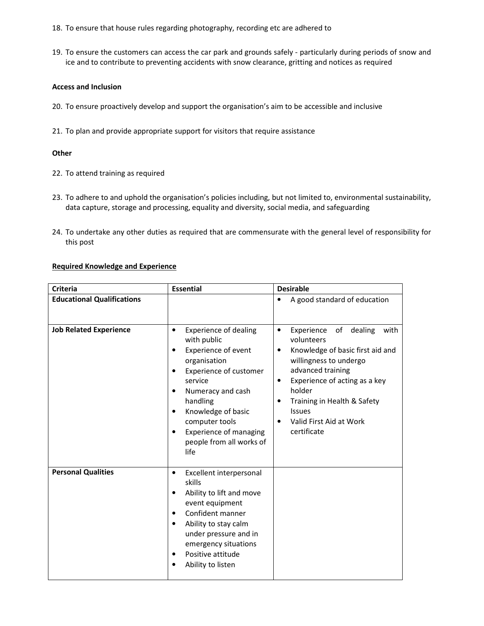- 18. To ensure that house rules regarding photography, recording etc are adhered to
- 19. To ensure the customers can access the car park and grounds safely particularly during periods of snow and ice and to contribute to preventing accidents with snow clearance, gritting and notices as required

## Access and Inclusion

- 20. To ensure proactively develop and support the organisation's aim to be accessible and inclusive
- 21. To plan and provide appropriate support for visitors that require assistance

## **Other**

- 22. To attend training as required
- 23. To adhere to and uphold the organisation's policies including, but not limited to, environmental sustainability, data capture, storage and processing, equality and diversity, social media, and safeguarding
- 24. To undertake any other duties as required that are commensurate with the general level of responsibility for this post

## Required Knowledge and Experience

| <b>Criteria</b>                   | <b>Essential</b>                                                                                                                                                                                                                                                                                                           | <b>Desirable</b>                                                                                                                                                                                                                                                                                 |
|-----------------------------------|----------------------------------------------------------------------------------------------------------------------------------------------------------------------------------------------------------------------------------------------------------------------------------------------------------------------------|--------------------------------------------------------------------------------------------------------------------------------------------------------------------------------------------------------------------------------------------------------------------------------------------------|
| <b>Educational Qualifications</b> |                                                                                                                                                                                                                                                                                                                            | A good standard of education                                                                                                                                                                                                                                                                     |
| <b>Job Related Experience</b>     | <b>Experience of dealing</b><br>$\bullet$<br>with public<br><b>Experience of event</b><br>٠<br>organisation<br>Experience of customer<br>٠<br>service<br>Numeracy and cash<br>$\bullet$<br>handling<br>Knowledge of basic<br>٠<br>computer tools<br><b>Experience of managing</b><br>٠<br>people from all works of<br>life | Experience<br>of<br>dealing<br>with<br>$\bullet$<br>volunteers<br>Knowledge of basic first aid and<br>٠<br>willingness to undergo<br>advanced training<br>Experience of acting as a key<br>٠<br>holder<br>Training in Health & Safety<br><b>Issues</b><br>Valid First Aid at Work<br>certificate |
| <b>Personal Qualities</b>         | Excellent interpersonal<br>$\bullet$<br>skills<br>Ability to lift and move<br>٠<br>event equipment<br>Confident manner<br>Ability to stay calm<br>٠<br>under pressure and in<br>emergency situations<br>Positive attitude<br>$\bullet$<br>Ability to listen                                                                |                                                                                                                                                                                                                                                                                                  |